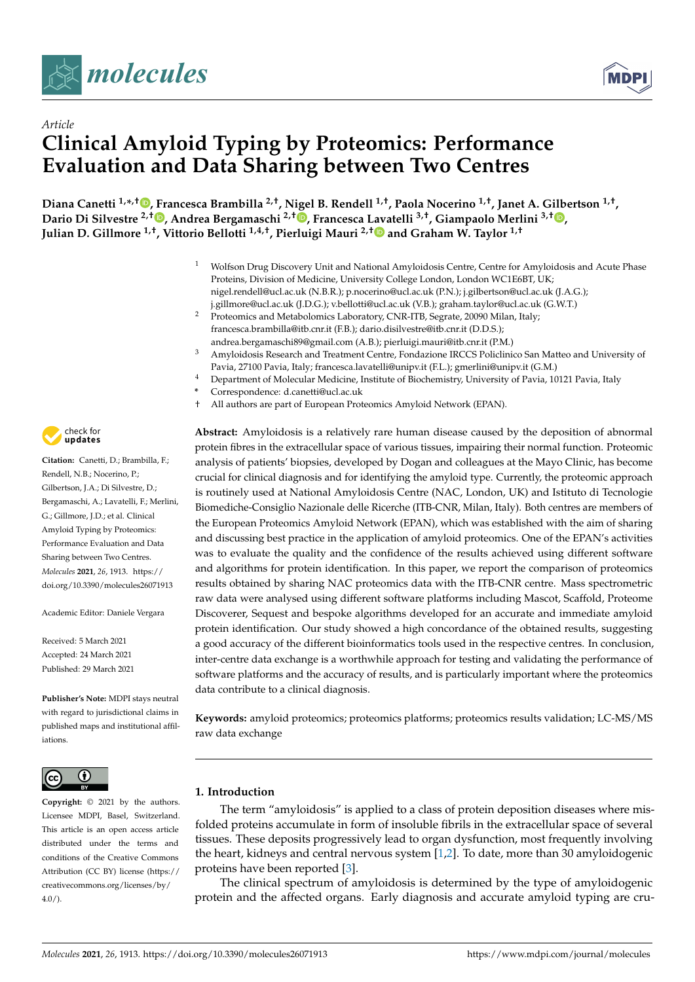



# *Article* **Clinical Amyloid Typing by Proteomics: Performance Evaluation and Data Sharing between Two Centres**

**Diana Canetti 1,\* ,† [,](https://orcid.org/0000-0001-5292-8124) Francesca Brambilla 2,†, Nigel B. Rendell 1,†, Paola Nocerino 1,†, Janet A. Gilbertson 1,† , Dario Di Silvestre 2,† [,](https://orcid.org/0000-0002-7143-6229) Andrea Bergamaschi 2,† [,](https://orcid.org/0000-0003-4133-1917) Francesca Lavatelli 3,†, Giampaolo Merlini 3,† [,](https://orcid.org/0000-0001-7680-3254) Julian D. Gillmore 1,†, Vittorio Bellotti 1,4,†, Pierluigi Mauri 2,† and Graham W. Taylor 1,†**

- <sup>1</sup> Wolfson Drug Discovery Unit and National Amyloidosis Centre, Centre for Amyloidosis and Acute Phase Proteins, Division of Medicine, University College London, London WC1E6BT, UK; nigel.rendell@ucl.ac.uk (N.B.R.); p.nocerino@ucl.ac.uk (P.N.); j.gilbertson@ucl.ac.uk (J.A.G.); j.gillmore@ucl.ac.uk (J.D.G.); v.bellotti@ucl.ac.uk (V.B.); graham.taylor@ucl.ac.uk (G.W.T.)
- <sup>2</sup> Proteomics and Metabolomics Laboratory, CNR-ITB, Segrate, 20090 Milan, Italy; francesca.brambilla@itb.cnr.it (F.B.); dario.disilvestre@itb.cnr.it (D.D.S.); andrea.bergamaschi89@gmail.com (A.B.); pierluigi.mauri@itb.cnr.it (P.M.)
- <sup>3</sup> Amyloidosis Research and Treatment Centre, Fondazione IRCCS Policlinico San Matteo and University of Pavia, 27100 Pavia, Italy; francesca.lavatelli@unipv.it (F.L.); gmerlini@unipv.it (G.M.)
- <sup>4</sup> Department of Molecular Medicine, Institute of Biochemistry, University of Pavia, 10121 Pavia, Italy
- **\*** Correspondence: d.canetti@ucl.ac.uk
- † All authors are part of European Proteomics Amyloid Network (EPAN).

**Abstract:** Amyloidosis is a relatively rare human disease caused by the deposition of abnormal protein fibres in the extracellular space of various tissues, impairing their normal function. Proteomic analysis of patients' biopsies, developed by Dogan and colleagues at the Mayo Clinic, has become crucial for clinical diagnosis and for identifying the amyloid type. Currently, the proteomic approach is routinely used at National Amyloidosis Centre (NAC, London, UK) and Istituto di Tecnologie Biomediche-Consiglio Nazionale delle Ricerche (ITB-CNR, Milan, Italy). Both centres are members of the European Proteomics Amyloid Network (EPAN), which was established with the aim of sharing and discussing best practice in the application of amyloid proteomics. One of the EPAN's activities was to evaluate the quality and the confidence of the results achieved using different software and algorithms for protein identification. In this paper, we report the comparison of proteomics results obtained by sharing NAC proteomics data with the ITB-CNR centre. Mass spectrometric raw data were analysed using different software platforms including Mascot, Scaffold, Proteome Discoverer, Sequest and bespoke algorithms developed for an accurate and immediate amyloid protein identification. Our study showed a high concordance of the obtained results, suggesting a good accuracy of the different bioinformatics tools used in the respective centres. In conclusion, inter-centre data exchange is a worthwhile approach for testing and validating the performance of software platforms and the accuracy of results, and is particularly important where the proteomics data contribute to a clinical diagnosis.

**Keywords:** amyloid proteomics; proteomics platforms; proteomics results validation; LC-MS/MS raw data exchange

## **1. Introduction**

The term "amyloidosis" is applied to a class of protein deposition diseases where misfolded proteins accumulate in form of insoluble fibrils in the extracellular space of several tissues. These deposits progressively lead to organ dysfunction, most frequently involving the heart, kidneys and central nervous system [\[1](#page-6-0)[,2\]](#page-6-1). To date, more than 30 amyloidogenic proteins have been reported [\[3\]](#page-6-2).

The clinical spectrum of amyloidosis is determined by the type of amyloidogenic protein and the affected organs. Early diagnosis and accurate amyloid typing are cru-



**Citation:** Canetti, D.; Brambilla, F.; Rendell, N.B.; Nocerino, P.; Gilbertson, J.A.; Di Silvestre, D.; Bergamaschi, A.; Lavatelli, F.; Merlini, G.; Gillmore, J.D.; et al. Clinical Amyloid Typing by Proteomics: Performance Evaluation and Data Sharing between Two Centres. *Molecules* **2021**, *26*, 1913. [https://](https://doi.org/10.3390/molecules26071913) [doi.org/10.3390/molecules26071913](https://doi.org/10.3390/molecules26071913)

Academic Editor: Daniele Vergara

Received: 5 March 2021 Accepted: 24 March 2021 Published: 29 March 2021

**Publisher's Note:** MDPI stays neutral with regard to jurisdictional claims in published maps and institutional affiliations.



**Copyright:** © 2021 by the authors. Licensee MDPI, Basel, Switzerland. This article is an open access article distributed under the terms and conditions of the Creative Commons Attribution (CC BY) license (https:/[/](https://creativecommons.org/licenses/by/4.0/) [creativecommons.org/licenses/by/](https://creativecommons.org/licenses/by/4.0/)  $4.0/$ ).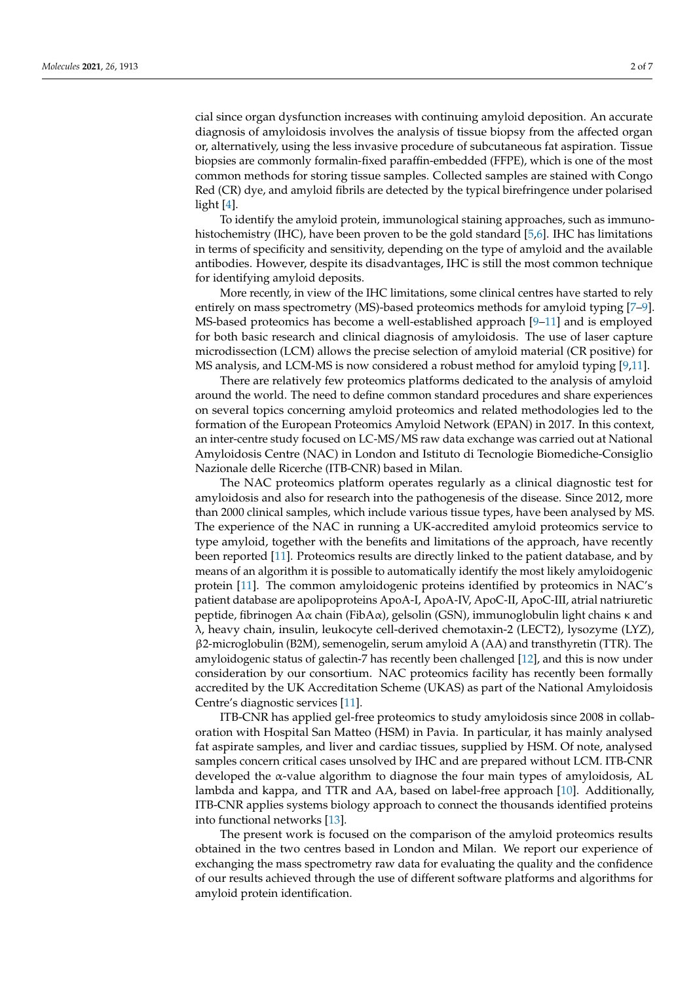cial since organ dysfunction increases with continuing amyloid deposition. An accurate diagnosis of amyloidosis involves the analysis of tissue biopsy from the affected organ or, alternatively, using the less invasive procedure of subcutaneous fat aspiration. Tissue biopsies are commonly formalin-fixed paraffin-embedded (FFPE), which is one of the most common methods for storing tissue samples. Collected samples are stained with Congo Red (CR) dye, and amyloid fibrils are detected by the typical birefringence under polarised light [\[4\]](#page-6-3).

To identify the amyloid protein, immunological staining approaches, such as immunohistochemistry (IHC), have been proven to be the gold standard [\[5](#page-6-4)[,6\]](#page-6-5). IHC has limitations in terms of specificity and sensitivity, depending on the type of amyloid and the available antibodies. However, despite its disadvantages, IHC is still the most common technique for identifying amyloid deposits.

More recently, in view of the IHC limitations, some clinical centres have started to rely entirely on mass spectrometry (MS)-based proteomics methods for amyloid typing [\[7](#page-6-6)[–9\]](#page-6-7). MS-based proteomics has become a well-established approach [\[9–](#page-6-7)[11\]](#page-6-8) and is employed for both basic research and clinical diagnosis of amyloidosis. The use of laser capture microdissection (LCM) allows the precise selection of amyloid material (CR positive) for MS analysis, and LCM-MS is now considered a robust method for amyloid typing [\[9,](#page-6-7)[11\]](#page-6-8).

There are relatively few proteomics platforms dedicated to the analysis of amyloid around the world. The need to define common standard procedures and share experiences on several topics concerning amyloid proteomics and related methodologies led to the formation of the European Proteomics Amyloid Network (EPAN) in 2017. In this context, an inter-centre study focused on LC-MS/MS raw data exchange was carried out at National Amyloidosis Centre (NAC) in London and Istituto di Tecnologie Biomediche-Consiglio Nazionale delle Ricerche (ITB-CNR) based in Milan.

The NAC proteomics platform operates regularly as a clinical diagnostic test for amyloidosis and also for research into the pathogenesis of the disease. Since 2012, more than 2000 clinical samples, which include various tissue types, have been analysed by MS. The experience of the NAC in running a UK-accredited amyloid proteomics service to type amyloid, together with the benefits and limitations of the approach, have recently been reported [\[11\]](#page-6-8). Proteomics results are directly linked to the patient database, and by means of an algorithm it is possible to automatically identify the most likely amyloidogenic protein [\[11\]](#page-6-8). The common amyloidogenic proteins identified by proteomics in NAC's patient database are apolipoproteins ApoA-I, ApoA-IV, ApoC-II, ApoC-III, atrial natriuretic peptide, fibrinogen A $\alpha$  chain (FibA $\alpha$ ), gelsolin (GSN), immunoglobulin light chains  $\kappa$  and λ, heavy chain, insulin, leukocyte cell-derived chemotaxin-2 (LECT2), lysozyme (LYZ), β2-microglobulin (B2M), semenogelin, serum amyloid A (AA) and transthyretin (TTR). The amyloidogenic status of galectin-7 has recently been challenged [\[12\]](#page-6-9), and this is now under consideration by our consortium. NAC proteomics facility has recently been formally accredited by the UK Accreditation Scheme (UKAS) as part of the National Amyloidosis Centre's diagnostic services [\[11\]](#page-6-8).

ITB-CNR has applied gel-free proteomics to study amyloidosis since 2008 in collaboration with Hospital San Matteo (HSM) in Pavia. In particular, it has mainly analysed fat aspirate samples, and liver and cardiac tissues, supplied by HSM. Of note, analysed samples concern critical cases unsolved by IHC and are prepared without LCM. ITB-CNR developed the α-value algorithm to diagnose the four main types of amyloidosis, AL lambda and kappa, and TTR and AA, based on label-free approach [\[10\]](#page-6-10). Additionally, ITB-CNR applies systems biology approach to connect the thousands identified proteins into functional networks [\[13\]](#page-6-11).

The present work is focused on the comparison of the amyloid proteomics results obtained in the two centres based in London and Milan. We report our experience of exchanging the mass spectrometry raw data for evaluating the quality and the confidence of our results achieved through the use of different software platforms and algorithms for amyloid protein identification.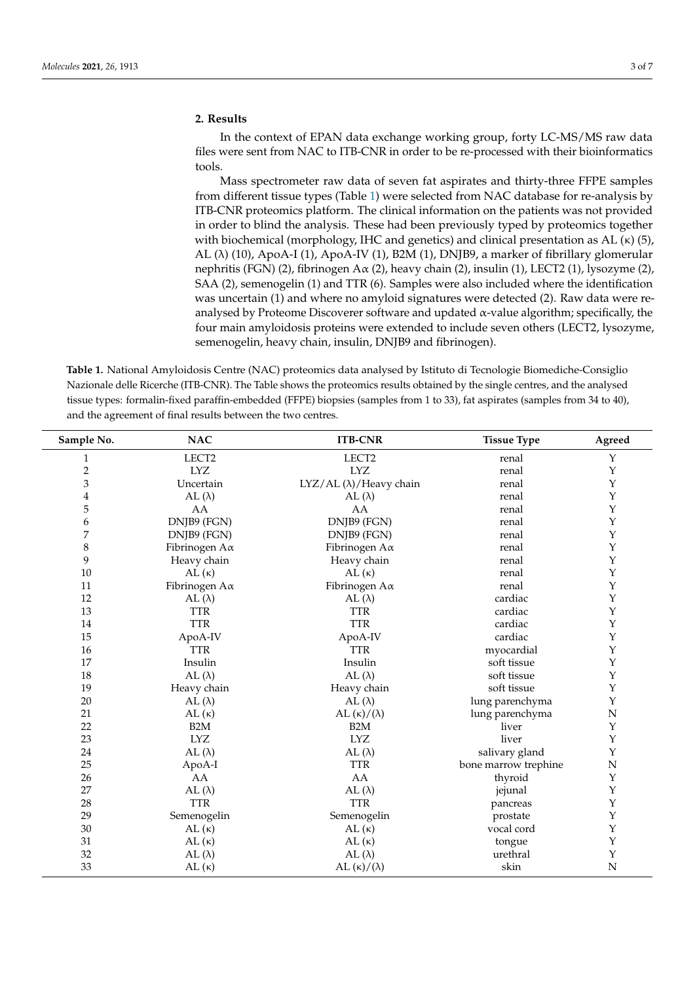#### **2. Results**

In the context of EPAN data exchange working group, forty LC-MS/MS raw data files were sent from NAC to ITB-CNR in order to be re-processed with their bioinformatics tools.

Mass spectrometer raw data of seven fat aspirates and thirty-three FFPE samples from different tissue types (Table [1\)](#page-2-0) were selected from NAC database for re-analysis by ITB-CNR proteomics platform. The clinical information on the patients was not provided in order to blind the analysis. These had been previously typed by proteomics together with biochemical (morphology, IHC and genetics) and clinical presentation as AL  $(\kappa)$  (5), AL (λ) (10), ApoA-I (1), ApoA-IV (1), B2M (1), DNJB9, a marker of fibrillary glomerular nephritis (FGN) (2), fibrinogen Aα (2), heavy chain (2), insulin (1), LECT2 (1), lysozyme (2), SAA (2), semenogelin (1) and TTR (6). Samples were also included where the identification was uncertain (1) and where no amyloid signatures were detected (2). Raw data were reanalysed by Proteome Discoverer software and updated  $\alpha$ -value algorithm; specifically, the four main amyloidosis proteins were extended to include seven others (LECT2, lysozyme, semenogelin, heavy chain, insulin, DNJB9 and fibrinogen).

<span id="page-2-0"></span>**Table 1.** National Amyloidosis Centre (NAC) proteomics data analysed by Istituto di Tecnologie Biomediche-Consiglio Nazionale delle Ricerche (ITB-CNR). The Table shows the proteomics results obtained by the single centres, and the analysed tissue types: formalin-fixed paraffin-embedded (FFPE) biopsies (samples from 1 to 33), fat aspirates (samples from 34 to 40), and the agreement of final results between the two centres.

| Sample No.     | $\bf NAC$            | <b>ITB-CNR</b>                | <b>Tissue Type</b>   | Agreed      |
|----------------|----------------------|-------------------------------|----------------------|-------------|
| 1              | LECT2                | LECT2                         | renal                | Υ           |
| $\overline{c}$ | <b>LYZ</b>           | <b>LYZ</b>                    | renal                | Υ           |
| 3              | Uncertain            | $LYZ/AL(\lambda)/Heavy$ chain | renal                | Υ           |
| 4              | $AL(\lambda)$        | $AL(\lambda)$                 | renal                | Υ           |
| 5              | AA                   | AA                            | renal                | Y           |
| 6              | DNJB9 (FGN)          | DNJB9 (FGN)                   | renal                | Υ           |
| 7              | DNJB9 (FGN)          | DNJB9 (FGN)                   | renal                | Y           |
| 8              | Fibrinogen $A\alpha$ | Fibrinogen $A\alpha$          | renal                | Y           |
| 9              | Heavy chain          | Heavy chain                   | renal                | Υ           |
| 10             | $AL(\kappa)$         | $AL(\kappa)$                  | renal                | Υ           |
| 11             | Fibrinogen $A\alpha$ | Fibrinogen $A\alpha$          | renal                | Υ           |
| 12             | AL $(\lambda)$       | $AL(\lambda)$                 | cardiac              | Υ           |
| 13             | <b>TTR</b>           | <b>TTR</b>                    | cardiac              | Y           |
| 14             | <b>TTR</b>           | <b>TTR</b>                    | cardiac              | Y           |
| 15             | ApoA-IV              | ApoA-IV                       | cardiac              | Y           |
| 16             | <b>TTR</b>           | <b>TTR</b>                    | myocardial           | Υ           |
| 17             | Insulin              | Insulin                       | soft tissue          | Υ           |
| 18             | AL $(\lambda)$       | $AL(\lambda)$                 | soft tissue          | Υ           |
| 19             | Heavy chain          | Heavy chain                   | soft tissue          | Υ           |
| 20             | AL $(\lambda)$       | $AL(\lambda)$                 | lung parenchyma      | Υ           |
| 21             | $AL(\kappa)$         | $AL(\kappa)/(\lambda)$        | lung parenchyma      | $\mathbf N$ |
| 22             | B2M                  | B2M                           | liver                | Υ           |
| 23             | <b>LYZ</b>           | <b>LYZ</b>                    | liver                | Υ           |
| 24             | AL $(\lambda)$       | $AL(\lambda)$                 | salivary gland       | Υ           |
| 25             | ApoA-I               | <b>TTR</b>                    | bone marrow trephine | $\mathbf N$ |
| 26             | AA                   | AA                            | thyroid              | Υ           |
| 27             | $AL(\lambda)$        | $AL(\lambda)$                 | jejunal              | Υ           |
| 28             | <b>TTR</b>           | <b>TTR</b>                    | pancreas             | Υ           |
| 29             | Semenogelin          | Semenogelin                   | prostate             | Y           |
| 30             | $AL(\kappa)$         | $AL(\kappa)$                  | vocal cord           | Υ           |
| 31             | AL(k)                | AL(K)                         | tongue               | Υ           |
| 32             | AL $(\lambda)$       | $AL(\lambda)$                 | urethral             | Υ           |
| 33             | AL(k)                | $AL(\kappa)/(\lambda)$        | skin                 | N           |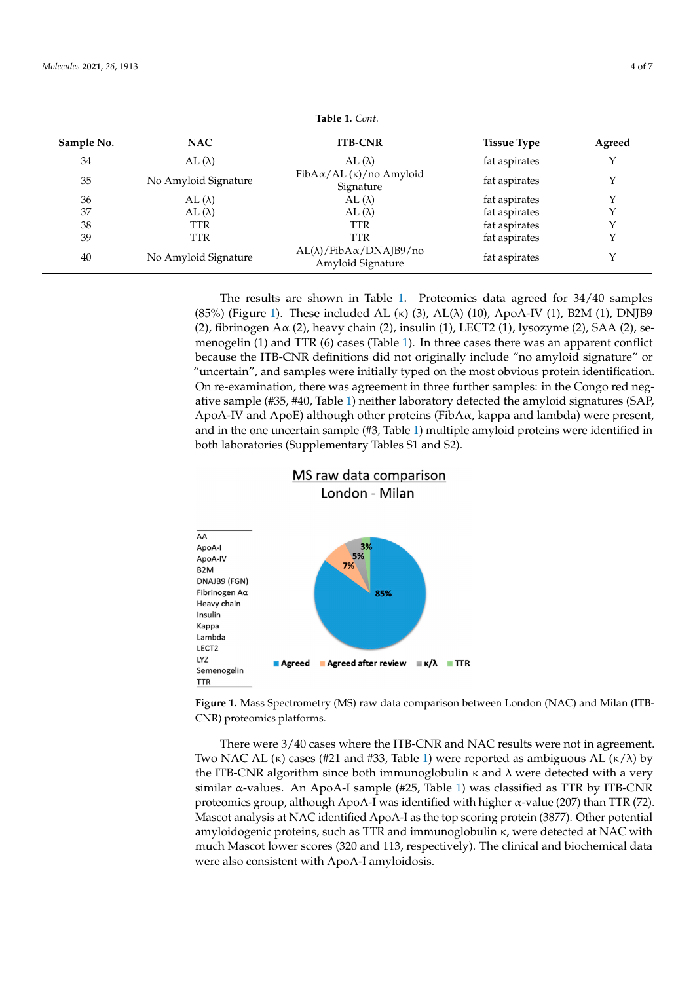| Sample No. | <b>NAC</b>           | <b>ITB-CNR</b>                                          | <b>Tissue Type</b> | Agreed       |
|------------|----------------------|---------------------------------------------------------|--------------------|--------------|
| 34         | AL $(\lambda)$       | $AL(\lambda)$                                           | fat aspirates      | $\check{ }$  |
| 35         | No Amyloid Signature | FibA $\alpha$ /AL $(\kappa)$ /no Amyloid<br>Signature   | fat aspirates      | $\check{ }$  |
| 36         | $AL(\lambda)$        | $AL(\lambda)$                                           | fat aspirates      | $\check{ }$  |
| 37         | AL $(\lambda)$       | AL $(\lambda)$                                          | fat aspirates      | Υ            |
| 38         | <b>TTR</b>           | <b>TTR</b>                                              | fat aspirates      | $\checkmark$ |
| 39         | <b>TTR</b>           | <b>TTR</b>                                              | fat aspirates      | Υ            |
| 40         | No Amyloid Signature | $AL(\lambda)/FibA\alpha/DNAJB9/no$<br>Amyloid Signature | fat aspirates      | $\checkmark$ |

**Table 1.** *Cont.*

The results are shown in Table [1.](#page-2-0) Proteomics data agreed for 34/40 samples (85%) (Figure [1\)](#page-3-0). These included AL (κ) (3), AL( $\lambda$ ) (10), ApoA-IV (1), B2M (1), DNJB9 (2), fibrinogen  $A\alpha$  (2), heavy chain (2), insulin (1), LECT2 (1), lysozyme (2), SAA (2), semenogelin (1) and TTR (6) cases (Table [1\)](#page-2-0). In three cases there was an apparent conflict because the ITB-CNR definitions did not originally include "no amyloid signature" or "uncertain", and samples were initially typed on the most obvious protein identification. On re-examination, there was agreement in three further samples: in the Congo red negative sample (#35, #40, Table [1\)](#page-2-0) neither laboratory detected the amyloid signatures (SAP, ApoA-IV and ApoE) although other proteins (FibAα, kappa and lambda) were present, and in the one uncertain sample (#3, Table [1\)](#page-2-0) multiple amyloid proteins were identified in both laboratories (Supplementary Tables S1 and S2).

<span id="page-3-0"></span>

AA

LYZ

Semenogelin **TTR** 

# MS raw data comparison

**Agreed Agreed after review**  $\equiv \kappa/\lambda$  TTR

**Figure 1.** Mass Spectrometry (MS) raw data comparison between London (NAC) and Milan (ITB-**Figure 1.** Mass Spectrometry (MS) raw data comparison between London (NAC) and Milan (ITB-CNR) proteomics platforms. CNR) proteomics platforms.

There were 3/40 cases where the ITB-CNR and NAC results were not in agreement. The ITB-CNR algorithm since both immunoglobulin  $\kappa$  and  $\lambda$  were detected with a very approach to evaluate and improve methods, the performance of software platforms and similar α-values. An ApoA-I sample (#25, Table [1\)](#page-2-0) was classified as TTR by ITB-CNR proteomics group, although ApoA-I was identified with higher  $\alpha$ -value (207) than TTR (72). Mascot analysis at NAC identified ApoA-I as the top scoring protein (3877). Other potential amyloidogenic proteins, such as TTR and immunoglobulin κ, were detected at NAC with much Mascot lower scores (320 and 113, respectively). The clinical and biochemical data were also consistent with ApoA-I amyloidosis.  $\frac{1}{\sqrt{1-\frac{1}{\sqrt{1-\frac{1}{\sqrt{1-\frac{1}{\sqrt{1-\frac{1}{\sqrt{1-\frac{1}{\sqrt{1-\frac{1}{\sqrt{1-\frac{1}{\sqrt{1-\frac{1}{\sqrt{1-\frac{1}{\sqrt{1-\frac{1}{\sqrt{1-\frac{1}{\sqrt{1-\frac{1}{\sqrt{1-\frac{1}{\sqrt{1-\frac{1}{\sqrt{1-\frac{1}{\sqrt{1-\frac{1}{\sqrt{1-\frac{1}{\sqrt{1-\frac{1}{\sqrt{1-\frac{1}{\sqrt{1-\frac{1}{\sqrt{1-\frac{1}{\sqrt{1-\frac{1}{\sqrt{1-\frac{1}{\sqrt{1-\frac{1$ Two NAC AL (κ) cases (#21 and #33, Table [1\)](#page-2-0) were reported as ambiguous AL ( $\kappa/\lambda$ ) by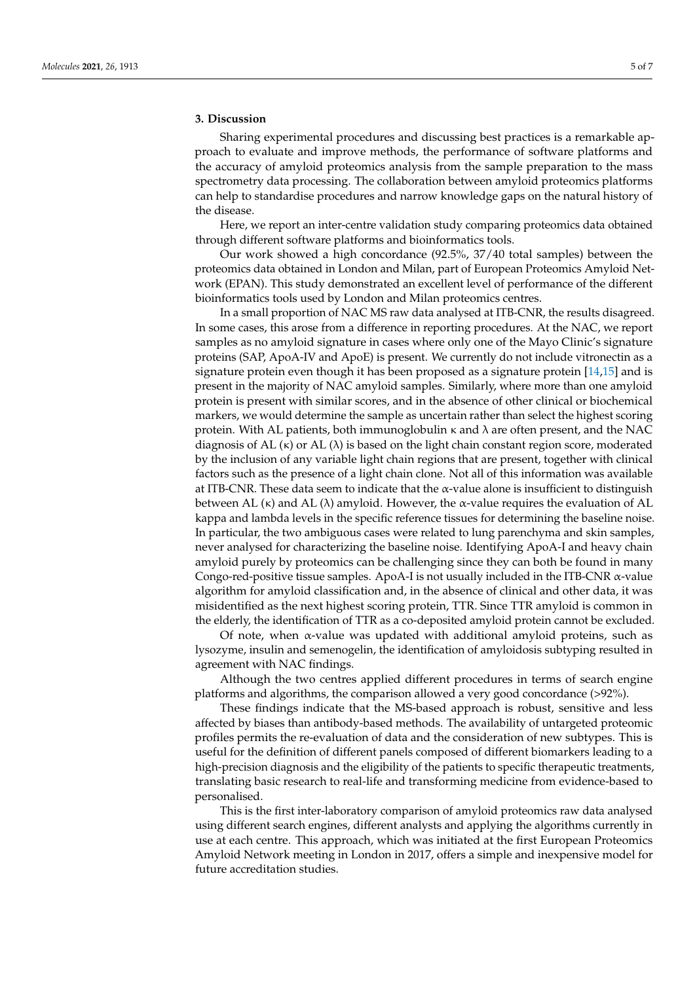### **3. Discussion**

Sharing experimental procedures and discussing best practices is a remarkable approach to evaluate and improve methods, the performance of software platforms and the accuracy of amyloid proteomics analysis from the sample preparation to the mass spectrometry data processing. The collaboration between amyloid proteomics platforms can help to standardise procedures and narrow knowledge gaps on the natural history of the disease.

Here, we report an inter-centre validation study comparing proteomics data obtained through different software platforms and bioinformatics tools.

Our work showed a high concordance (92.5%, 37/40 total samples) between the proteomics data obtained in London and Milan, part of European Proteomics Amyloid Network (EPAN). This study demonstrated an excellent level of performance of the different bioinformatics tools used by London and Milan proteomics centres.

In a small proportion of NAC MS raw data analysed at ITB-CNR, the results disagreed. In some cases, this arose from a difference in reporting procedures. At the NAC, we report samples as no amyloid signature in cases where only one of the Mayo Clinic's signature proteins (SAP, ApoA-IV and ApoE) is present. We currently do not include vitronectin as a signature protein even though it has been proposed as a signature protein [\[14](#page-6-12)[,15\]](#page-6-13) and is present in the majority of NAC amyloid samples. Similarly, where more than one amyloid protein is present with similar scores, and in the absence of other clinical or biochemical markers, we would determine the sample as uncertain rather than select the highest scoring protein. With AL patients, both immunoglobulin κ and λ are often present, and the NAC diagnosis of AL  $(\kappa)$  or AL  $(\lambda)$  is based on the light chain constant region score, moderated by the inclusion of any variable light chain regions that are present, together with clinical factors such as the presence of a light chain clone. Not all of this information was available at ITB-CNR. These data seem to indicate that the  $\alpha$ -value alone is insufficient to distinguish between AL ( $\kappa$ ) and AL ( $\lambda$ ) amyloid. However, the  $\alpha$ -value requires the evaluation of AL kappa and lambda levels in the specific reference tissues for determining the baseline noise. In particular, the two ambiguous cases were related to lung parenchyma and skin samples, never analysed for characterizing the baseline noise. Identifying ApoA-I and heavy chain amyloid purely by proteomics can be challenging since they can both be found in many Congo-red-positive tissue samples. ApoA-I is not usually included in the ITB-CNR α-value algorithm for amyloid classification and, in the absence of clinical and other data, it was misidentified as the next highest scoring protein, TTR. Since TTR amyloid is common in the elderly, the identification of TTR as a co-deposited amyloid protein cannot be excluded.

Of note, when  $\alpha$ -value was updated with additional amyloid proteins, such as lysozyme, insulin and semenogelin, the identification of amyloidosis subtyping resulted in agreement with NAC findings.

Although the two centres applied different procedures in terms of search engine platforms and algorithms, the comparison allowed a very good concordance (>92%).

These findings indicate that the MS-based approach is robust, sensitive and less affected by biases than antibody-based methods. The availability of untargeted proteomic profiles permits the re-evaluation of data and the consideration of new subtypes. This is useful for the definition of different panels composed of different biomarkers leading to a high-precision diagnosis and the eligibility of the patients to specific therapeutic treatments, translating basic research to real-life and transforming medicine from evidence-based to personalised.

This is the first inter-laboratory comparison of amyloid proteomics raw data analysed using different search engines, different analysts and applying the algorithms currently in use at each centre. This approach, which was initiated at the first European Proteomics Amyloid Network meeting in London in 2017, offers a simple and inexpensive model for future accreditation studies.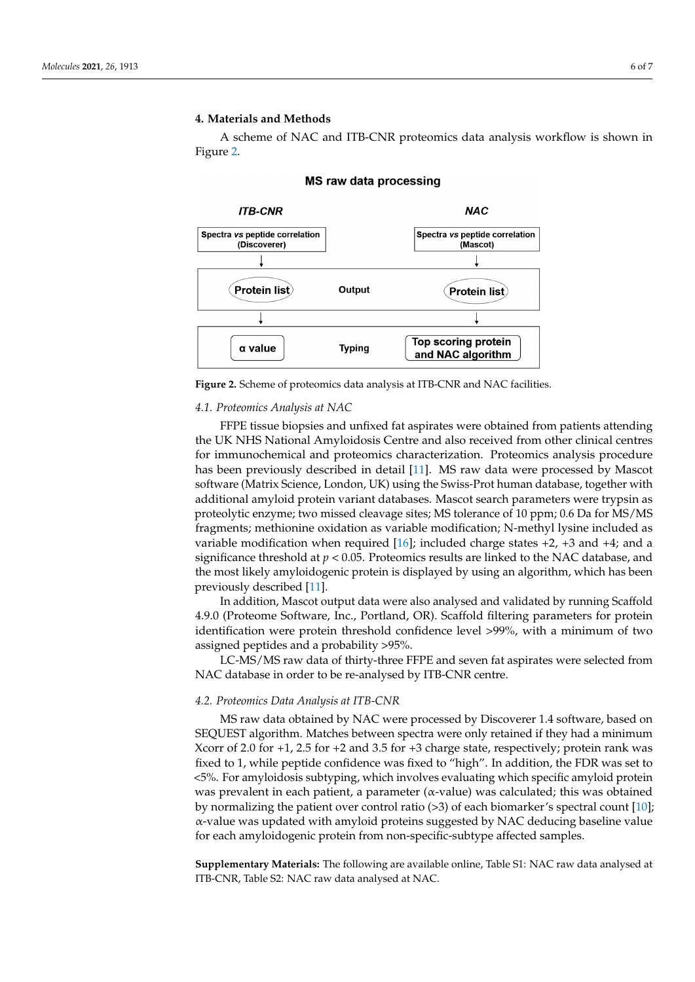A scheme of NAC and ITB-CNR proteomics data analysis workflow is shown in Figure [2.](#page-5-0)

<span id="page-5-0"></span>

#### **MS raw data processing**

**Figure 2.** Scheme of proteomics data analysis at ITB-CNR and NAC facilities. **Figure 2.** Scheme of proteomics data analysis at ITB-CNR and NAC facilities.

### **Supplementary Materials:** The following are available online at www.mdpi.com/1420- *4.1. Proteomics Analysis at NAC*

FFPE tissue biopsies and unfixed fat aspirates were obtained from patients attending the UK NHS National Amyloidosis Centre and also received from other clinical centres for immunochemical and proteomics characterization. Proteomics analysis procedure has been previously described in detail [\[11\]](#page-6-8). MS raw data were processed by Mascot software (Matrix Science, London, UK) using the Swiss-Prot human database, together with additional amyloid protein variant databases. Mascot search parameters were trypsin as proteolytic enzyme; two missed cleavage sites; MS tolerance of 10 ppm; 0.6 Da for MS/MS fragments; methionine oxidation as variable modification; N-methyl lysine included as significance threshold at  $p < 0.05$ . Proteomics results are linked to the NAC database, and  $\omega$  declares of Helsinki, and approved by the Institution of Helsinki, and approved by the Royal Free Royal Free Royal Free Royal Free Royal Free Royal Free Royal Free Royal Free Royal Free Royal Free Royal Free Royal Fr Hospital Ethics committee (REC/06/Q0501/42). the most likely amyloidogenic protein is displayed by using an algorithm, which has been variable modification when required  $[16]$ ; included charge states  $+2$ ,  $+3$  and  $+4$ ; and a previously described [\[11\]](#page-6-8).

In addition, Mascot output data were also analysed and validated by running Scaffold 4.9.0 (Proteome Software, Inc., Portland, OR). Scaffold filtering parameters for protein identification were protein threshold confidence level >99%, with a minimum of two assigned peptides and a probability >95%.

**Conflicts of Interest:** The authors declare no conflict of interest. NAC database in order to be re-analysed by ITB-CNR centre. LC-MS/MS raw data of thirty-three FFPE and seven fat aspirates were selected from

#### *4.2. Proteomics Data Analysis at ITB-CNR*

 $SEQUEST$  algorithm. Matches between spectra were only retained if they had a minimum Xcorr of 2.0 for  $+1$ , 2.5 for  $+2$  and 3.5 for  $+3$  charge state, respectively; protein rank was <5%. For amyloidosis subtyping, which involves evaluating which specific amyloid protein was prevalent in each patient, a parameter (α-value) was calculated; this was obtained by normalizing the patient over control ratio (>3) of each biomarker's spectral count [\[10\]](#page-6-10); *Applied pathology*. **1985**, *3*, 5–17.  $\alpha$ -value was updated with amyloid proteins suggested by NAC deducing baseline value for each amyloidogenic protein from non-specific-subtype affected samples. MS raw data obtained by NAC were processed by Discoverer 1.4 software, based on fixed to 1, while peptide confidence was fixed to "high". In addition, the FDR was set to

 $S$ upplementary Materials: The following are available online, Table S1: NAC raw data analysed at 7. Theis, J.D.; Dasari, S.; et al. Shotgun-proteomics-based clinical testing for diagnosis and classification of amyloidosis. *J Mass*  ITB-CNR, Table S2: NAC raw data analysed at NAC.